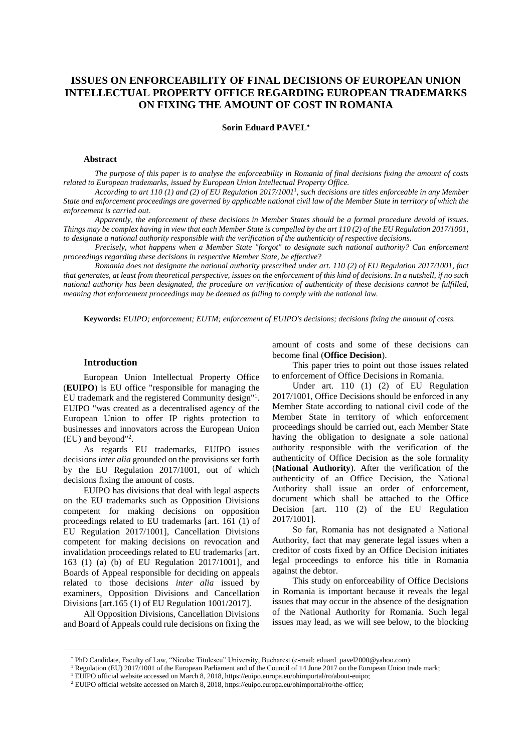# **ISSUES ON ENFORCEABILITY OF FINAL DECISIONS OF EUROPEAN UNION INTELLECTUAL PROPERTY OFFICE REGARDING EUROPEAN TRADEMARKS ON FIXING THE AMOUNT OF COST IN ROMANIA**

#### **Sorin Eduard PAVEL**

#### **Abstract**

The purpose of this paper is to analyse the enforceability in Romania of final decisions fixing the amount of costs *related to European trademarks, issued by European Union Intellectual Property Office.*

According to art 110 (1) and (2) of EU Regulation  $2017/1001<sup>1</sup>$ , such decisions are titles enforceable in any Member State and enforcement proceedings are governed by applicable national civil law of the Member State in territory of which the *enforcement is carried out.*

Apparently, the enforcement of these decisions in Member States should be a formal procedure devoid of issues. Things may be complex having in view that each Member State is compelled by the art 110(2) of the EU Regulation 2017/1001, *to designate a national authority responsible with the verification of the authenticity of respective decisions.*

*Precisely, what happens when a Member State "forgot" to designate such national authority? Can enforcement proceedings regarding these decisions in respective Member State, be effective?*

Romania does not designate the national authority prescribed under art. 110(2) of EU Regulation 2017/1001, fact that generates, at least from theoretical perspective, issues on the enforcement of this kind of decisions. In a nutshell, if no such national authority has been designated, the procedure on verification of authenticity of these decisions cannot be fulfilled, *meaning that enforcement proceedings may be deemed as failing to comply with the national law.*

**Keywords:** *EUIPO; enforcement; EUTM; enforcement of EUIPO's decisions; decisions fixing the amount of costs.*

### **Introduction**

 $\overline{a}$ 

European Union Intellectual Property Office (**EUIPO**) is EU office "responsible for managing the EU trademark and the registered Community design"<sup>1</sup>. EUIPO "was created as a decentralised agency of the European Union to offer IP rights protection to businesses and innovators across the European Union (EU) and beyond" 2 .

As regards EU trademarks, EUIPO issues decisions *inter alia* grounded on the provisions set forth by the EU Regulation 2017/1001, out of which decisions fixing the amount of costs.

EUIPO has divisions that deal with legal aspects on the EU trademarks such as Opposition Divisions competent for making decisions on opposition proceedings related to EU trademarks [art. 161 (1) of EU Regulation 2017/1001], Cancellation Divisions competent for making decisions on revocation and invalidation proceedings related to EU trademarks [art. 163 (1) (a) (b) of EU Regulation 2017/1001], and Boards of Appeal responsible for deciding on appeals related to those decisions *inter alia* issued by examiners, Opposition Divisions and Cancellation Divisions [art.165 (1) of EU Regulation 1001/2017].

All Opposition Divisions, Cancellation Divisions and Board of Appeals could rule decisions on fixing the amount of costs and some of these decisions can become final (**Office Decision**).

This paper tries to point out those issues related to enforcement of Office Decisions in Romania.

Under art. 110 (1) (2) of EU Regulation 2017/1001, Office Decisions should be enforced in any Member State according to national civil code of the Member State in territory of which enforcement proceedings should be carried out, each Member State having the obligation to designate a sole national authority responsible with the verification of the authenticity of Office Decision as the sole formality (**National Authority**). After the verification of the authenticity of an Office Decision, the National Authority shall issue an order of enforcement, document which shall be attached to the Office Decision [art. 110 (2) of the EU Regulation 2017/1001].

So far, Romania has not designated a National Authority, fact that may generate legal issues when a creditor of costs fixed by an Office Decision initiates legal proceedings to enforce his title in Romania against the debtor.

This study on enforceability of Office Decisions in Romania is important because it reveals the legal issues that may occur in the absence of the designation of the National Authority for Romania. Such legal issues may lead, as we will see below, to the blocking

PhD Candidate, Faculty of Law, "Nicolae Titulescu" University, Bucharest (e-mail: eduard\_pavel2000@yahoo.com)

<sup>1</sup> Regulation (EU) 2017/1001 of the European Parliament and of the Council of 14 June 2017 on the European Union trade mark;

<sup>1</sup> EUIPO official website accessed on March 8, 2018, https://euipo.europa.eu/ohimportal/ro/about-euipo;

<sup>2</sup> EUIPO official website accessed on March 8, 2018, https://euipo.europa.eu/ohimportal/ro/the-office;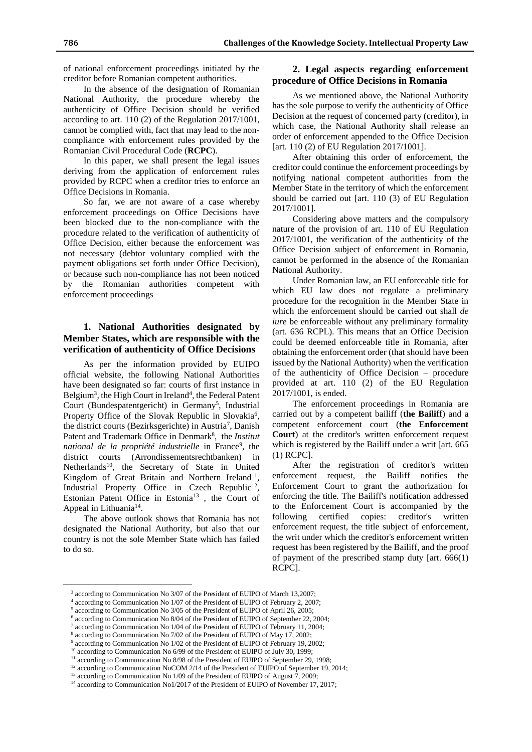of national enforcement proceedings initiated by the creditor before Romanian competent authorities.

In the absence of the designation of Romanian National Authority, the procedure whereby the authenticity of Office Decision should be verified according to art. 110 (2) of the Regulation 2017/1001, cannot be complied with, fact that may lead to the noncompliance with enforcement rules provided by the Romanian Civil Procedural Code (**RCPC**).

In this paper, we shall present the legal issues deriving from the application of enforcement rules provided by RCPC when a creditor tries to enforce an Office Decisions in Romania.

So far, we are not aware of a case whereby enforcement proceedings on Office Decisions have been blocked due to the non-compliance with the procedure related to the verification of authenticity of Office Decision, either because the enforcement was not necessary (debtor voluntary complied with the payment obligations set forth under Office Decision), or because such non-compliance has not been noticed by the Romanian authorities competent with enforcement proceedings

## **1. National Authorities designated by Member States, which are responsible with the verification of authenticity of Office Decisions**

As per the information provided by EUIPO official website, the following National Authorities have been designated so far: courts of first instance in Belgium<sup>3</sup>, the High Court in Ireland<sup>4</sup>, the Federal Patent Court (Bundespatentgericht) in Germany<sup>5</sup>, Industrial Property Office of the Slovak Republic in Slovakia<sup>6</sup>, the district courts (Bezirksgerichte) in Austria<sup>7</sup>, Danish Patent and Trademark Office in Denmark<sup>8</sup>, the *Institut national de la propriété industrielle* in France<sup>9</sup> , the district courts (Arrondissementsrechtbanken) in Netherlands<sup>10</sup>, the Secretary of State in United Kingdom of Great Britain and Northern Ireland<sup>11</sup>, Industrial Property Office in Czech Republic<sup>12</sup>, Estonian Patent Office in Estonia<sup>13</sup>, the Court of Appeal in Lithuania<sup>14</sup>.

The above outlook shows that Romania has not designated the National Authority, but also that our country is not the sole Member State which has failed to do so.

 $\overline{a}$ 

### **2. Legal aspects regarding enforcement procedure of Office Decisions in Romania**

As we mentioned above, the National Authority has the sole purpose to verify the authenticity of Office Decision at the request of concerned party (creditor), in which case, the National Authority shall release an order of enforcement appended to the Office Decision [art. 110 (2) of EU Regulation 2017/1001].

After obtaining this order of enforcement, the creditor could continue the enforcement proceedings by notifying national competent authorities from the Member State in the territory of which the enforcement should be carried out [art. 110 (3) of EU Regulation 2017/1001].

Considering above matters and the compulsory nature of the provision of art. 110 of EU Regulation 2017/1001, the verification of the authenticity of the Office Decision subject of enforcement in Romania, cannot be performed in the absence of the Romanian National Authority.

Under Romanian law, an EU enforceable title for which EU law does not regulate a preliminary procedure for the recognition in the Member State in which the enforcement should be carried out shall *de iure* be enforceable without any preliminary formality (art. 636 RCPL). This means that an Office Decision could be deemed enforceable title in Romania, after obtaining the enforcement order (that should have been issued by the National Authority) when the verification of the authenticity of Office Decision – procedure provided at art. 110 (2) of the EU Regulation 2017/1001, is ended.

The enforcement proceedings in Romania are carried out by a competent bailiff (**the Bailiff**) and a competent enforcement court (**the Enforcement Court**) at the creditor's written enforcement request which is registered by the Bailiff under a writ [art. 665 (1) RCPC].

After the registration of creditor's written enforcement request, the Bailiff notifies the Enforcement Court to grant the authorization for enforcing the title. The Bailiff's notification addressed to the Enforcement Court is accompanied by the following certified copies: creditor's written enforcement request, the title subject of enforcement, the writ under which the creditor's enforcement written request has been registered by the Bailiff, and the proof of payment of the prescribed stamp duty [art. 666(1) RCPC].

<sup>&</sup>lt;sup>3</sup> according to Communication No 3/07 of the President of EUIPO of March 13,2007;

<sup>4</sup> according to Communication No 1/07 of the President of EUIPO of February 2, 2007;

<sup>&</sup>lt;sup>5</sup> according to Communication No 3/05 of the President of EUIPO of April 26, 2005;

<sup>6</sup> according to Communication No 8/04 of the President of EUIPO of September 22, 2004;

<sup>7</sup> according to Communication No 1/04 of the President of EUIPO of February 11, 2004;

<sup>8</sup> according to Communication No 7/02 of the President of EUIPO of May 17, 2002;

<sup>&</sup>lt;sup>9</sup> according to Communication No 1/02 of the President of EUIPO of February 19, 2002;

<sup>&</sup>lt;sup>10</sup> according to Communication No 6/99 of the President of EUIPO of July 30, 1999; <sup>11</sup> according to Communication No 8/98 of the President of EUIPO of September 29, 1998;

<sup>&</sup>lt;sup>12</sup> according to Communication NoCOM 2/14 of the President of EUIPO of September 19, 2014;

<sup>&</sup>lt;sup>13</sup> according to Communication No 1/09 of the President of EUIPO of August 7, 2009;

<sup>&</sup>lt;sup>14</sup> according to Communication No1/2017 of the President of EUIPO of November 17, 2017;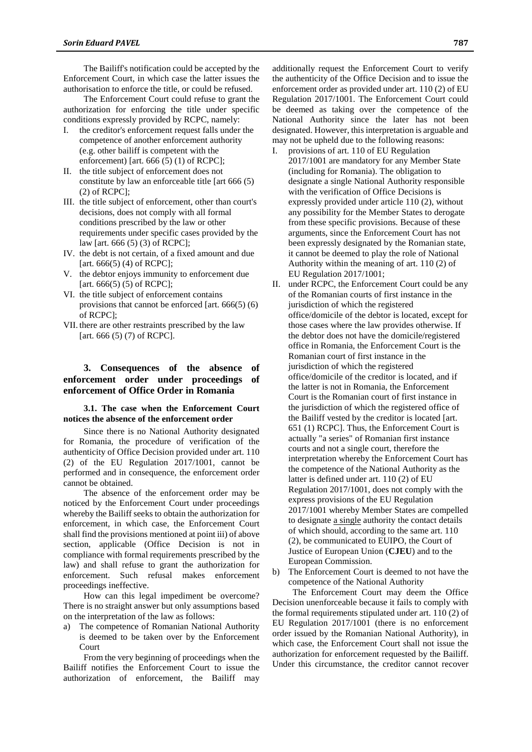The Bailiff's notification could be accepted by the Enforcement Court, in which case the latter issues the authorisation to enforce the title, or could be refused.

The Enforcement Court could refuse to grant the authorization for enforcing the title under specific conditions expressly provided by RCPC, namely:

- I. the creditor's enforcement request falls under the competence of another enforcement authority (e.g. other bailiff is competent with the enforcement) [art. 666 (5) (1) of RCPC];
- II. the title subject of enforcement does not constitute by law an enforceable title [art 666 (5)  $(2)$  of RCPC];
- III. the title subject of enforcement, other than court's decisions, does not comply with all formal conditions prescribed by the law or other requirements under specific cases provided by the law [art. 666 (5) (3) of RCPC];
- IV. the debt is not certain, of a fixed amount and due [art. 666(5) (4) of RCPC];
- V. the debtor enjoys immunity to enforcement due [art. 666(5) (5) of RCPC];
- VI. the title subject of enforcement contains provisions that cannot be enforced [art. 666(5) (6) of RCPC];
- VII. there are other restraints prescribed by the law [art. 666 (5) (7) of RCPC].

## **3. Consequences of the absence of enforcement order under proceedings of enforcement of Office Order in Romania**

### **3.1. The case when the Enforcement Court notices the absence of the enforcement order**

Since there is no National Authority designated for Romania, the procedure of verification of the authenticity of Office Decision provided under art. 110 (2) of the EU Regulation 2017/1001, cannot be performed and in consequence, the enforcement order cannot be obtained.

The absence of the enforcement order may be noticed by the Enforcement Court under proceedings whereby the Bailiff seeks to obtain the authorization for enforcement, in which case, the Enforcement Court shall find the provisions mentioned at point iii) of above section, applicable (Office Decision is not in compliance with formal requirements prescribed by the law) and shall refuse to grant the authorization for enforcement. Such refusal makes enforcement proceedings ineffective.

How can this legal impediment be overcome? There is no straight answer but only assumptions based on the interpretation of the law as follows:

a) The competence of Romanian National Authority is deemed to be taken over by the Enforcement Court

From the very beginning of proceedings when the Bailiff notifies the Enforcement Court to issue the authorization of enforcement, the Bailiff may additionally request the Enforcement Court to verify the authenticity of the Office Decision and to issue the enforcement order as provided under art. 110 (2) of EU Regulation 2017/1001. The Enforcement Court could be deemed as taking over the competence of the National Authority since the later has not been designated. However, this interpretation is arguable and may not be upheld due to the following reasons:

- I. provisions of art. 110 of EU Regulation 2017/1001 are mandatory for any Member State (including for Romania). The obligation to designate a single National Authority responsible with the verification of Office Decisions is expressly provided under article 110 (2), without any possibility for the Member States to derogate from these specific provisions. Because of these arguments, since the Enforcement Court has not been expressly designated by the Romanian state, it cannot be deemed to play the role of National Authority within the meaning of art. 110 (2) of EU Regulation 2017/1001;
- II. under RCPC, the Enforcement Court could be any of the Romanian courts of first instance in the jurisdiction of which the registered office/domicile of the debtor is located, except for those cases where the law provides otherwise. If the debtor does not have the domicile/registered office in Romania, the Enforcement Court is the Romanian court of first instance in the jurisdiction of which the registered office/domicile of the creditor is located, and if the latter is not in Romania, the Enforcement Court is the Romanian court of first instance in the jurisdiction of which the registered office of the Bailiff vested by the creditor is located [art. 651 (1) RCPC]. Thus, the Enforcement Court is actually "a series" of Romanian first instance courts and not a single court, therefore the interpretation whereby the Enforcement Court has the competence of the National Authority as the latter is defined under art. 110 (2) of EU Regulation 2017/1001, does not comply with the express provisions of the EU Regulation 2017/1001 whereby Member States are compelled to designate a single authority the contact details of which should, according to the same art. 110 (2), be communicated to EUIPO, the Court of Justice of European Union (**CJEU**) and to the European Commission.

b) The Enforcement Court is deemed to not have the competence of the National Authority

The Enforcement Court may deem the Office Decision unenforceable because it fails to comply with the formal requirements stipulated under art. 110 (2) of EU Regulation 2017/1001 (there is no enforcement order issued by the Romanian National Authority), in which case, the Enforcement Court shall not issue the authorization for enforcement requested by the Bailiff. Under this circumstance, the creditor cannot recover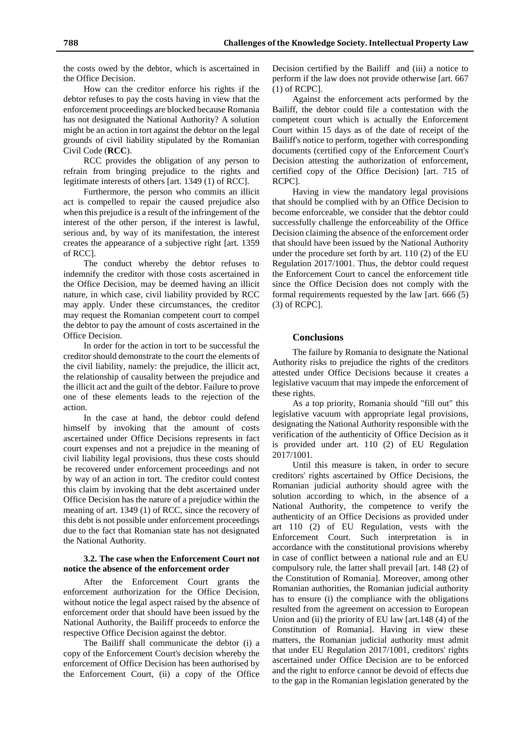the costs owed by the debtor, which is ascertained in the Office Decision.

How can the creditor enforce his rights if the debtor refuses to pay the costs having in view that the enforcement proceedings are blocked because Romania has not designated the National Authority? A solution might be an action in tort against the debtor on the legal grounds of civil liability stipulated by the Romanian Civil Code (**RCC**).

RCC provides the obligation of any person to refrain from bringing prejudice to the rights and legitimate interests of others [art. 1349 (1) of RCC].

Furthermore, the person who commits an illicit act is compelled to repair the caused prejudice also when this prejudice is a result of the infringement of the interest of the other person, if the interest is lawful, serious and, by way of its manifestation, the interest creates the appearance of a subjective right [art. 1359 of RCC].

The conduct whereby the debtor refuses to indemnify the creditor with those costs ascertained in the Office Decision, may be deemed having an illicit nature, in which case, civil liability provided by RCC may apply. Under these circumstances, the creditor may request the Romanian competent court to compel the debtor to pay the amount of costs ascertained in the Office Decision.

In order for the action in tort to be successful the creditor should demonstrate to the court the elements of the civil liability, namely: the prejudice, the illicit act, the relationship of causality between the prejudice and the illicit act and the guilt of the debtor. Failure to prove one of these elements leads to the rejection of the action.

In the case at hand, the debtor could defend himself by invoking that the amount of costs ascertained under Office Decisions represents in fact court expenses and not a prejudice in the meaning of civil liability legal provisions, thus these costs should be recovered under enforcement proceedings and not by way of an action in tort. The creditor could contest this claim by invoking that the debt ascertained under Office Decision has the nature of a prejudice within the meaning of art. 1349 (1) of RCC, since the recovery of this debt is not possible under enforcement proceedings due to the fact that Romanian state has not designated the National Authority.

### **3.2. The case when the Enforcement Court not notice the absence of the enforcement order**

After the Enforcement Court grants the enforcement authorization for the Office Decision, without notice the legal aspect raised by the absence of enforcement order that should have been issued by the National Authority, the Bailiff proceeds to enforce the respective Office Decision against the debtor.

The Bailiff shall communicate the debtor (i) a copy of the Enforcement Court's decision whereby the enforcement of Office Decision has been authorised by the Enforcement Court, (ii) a copy of the Office Decision certified by the Bailiff and (iii) a notice to perform if the law does not provide otherwise [art. 667 (1) of RCPC].

Against the enforcement acts performed by the Bailiff, the debtor could file a contestation with the competent court which is actually the Enforcement Court within 15 days as of the date of receipt of the Bailiff's notice to perform, together with corresponding documents (certified copy of the Enforcement Court's Decision attesting the authorization of enforcement, certified copy of the Office Decision) [art. 715 of RCPC].

Having in view the mandatory legal provisions that should be complied with by an Office Decision to become enforceable, we consider that the debtor could successfully challenge the enforceability of the Office Decision claiming the absence of the enforcement order that should have been issued by the National Authority under the procedure set forth by art. 110 (2) of the EU Regulation 2017/1001. Thus, the debtor could request the Enforcement Court to cancel the enforcement title since the Office Decision does not comply with the formal requirements requested by the law [art. 666 (5) (3) of RCPC].

#### **Conclusions**

The failure by Romania to designate the National Authority risks to prejudice the rights of the creditors attested under Office Decisions because it creates a legislative vacuum that may impede the enforcement of these rights.

As a top priority, Romania should "fill out" this legislative vacuum with appropriate legal provisions, designating the National Authority responsible with the verification of the authenticity of Office Decision as it is provided under art. 110 (2) of EU Regulation 2017/1001.

Until this measure is taken, in order to secure creditors' rights ascertained by Office Decisions, the Romanian judicial authority should agree with the solution according to which, in the absence of a National Authority, the competence to verify the authenticity of an Office Decisions as provided under art 110 (2) of EU Regulation, vests with the Enforcement Court. Such interpretation is in accordance with the constitutional provisions whereby in case of conflict between a national rule and an EU compulsory rule, the latter shall prevail [art. 148 (2) of the Constitution of Romania]. Moreover, among other Romanian authorities, the Romanian judicial authority has to ensure (i) the compliance with the obligations resulted from the agreement on accession to European Union and (ii) the priority of EU law [art.148 (4) of the Constitution of Romania]. Having in view these matters, the Romanian judicial authority must admit that under EU Regulation 2017/1001, creditors' rights ascertained under Office Decision are to be enforced and the right to enforce cannot be devoid of effects due to the gap in the Romanian legislation generated by the